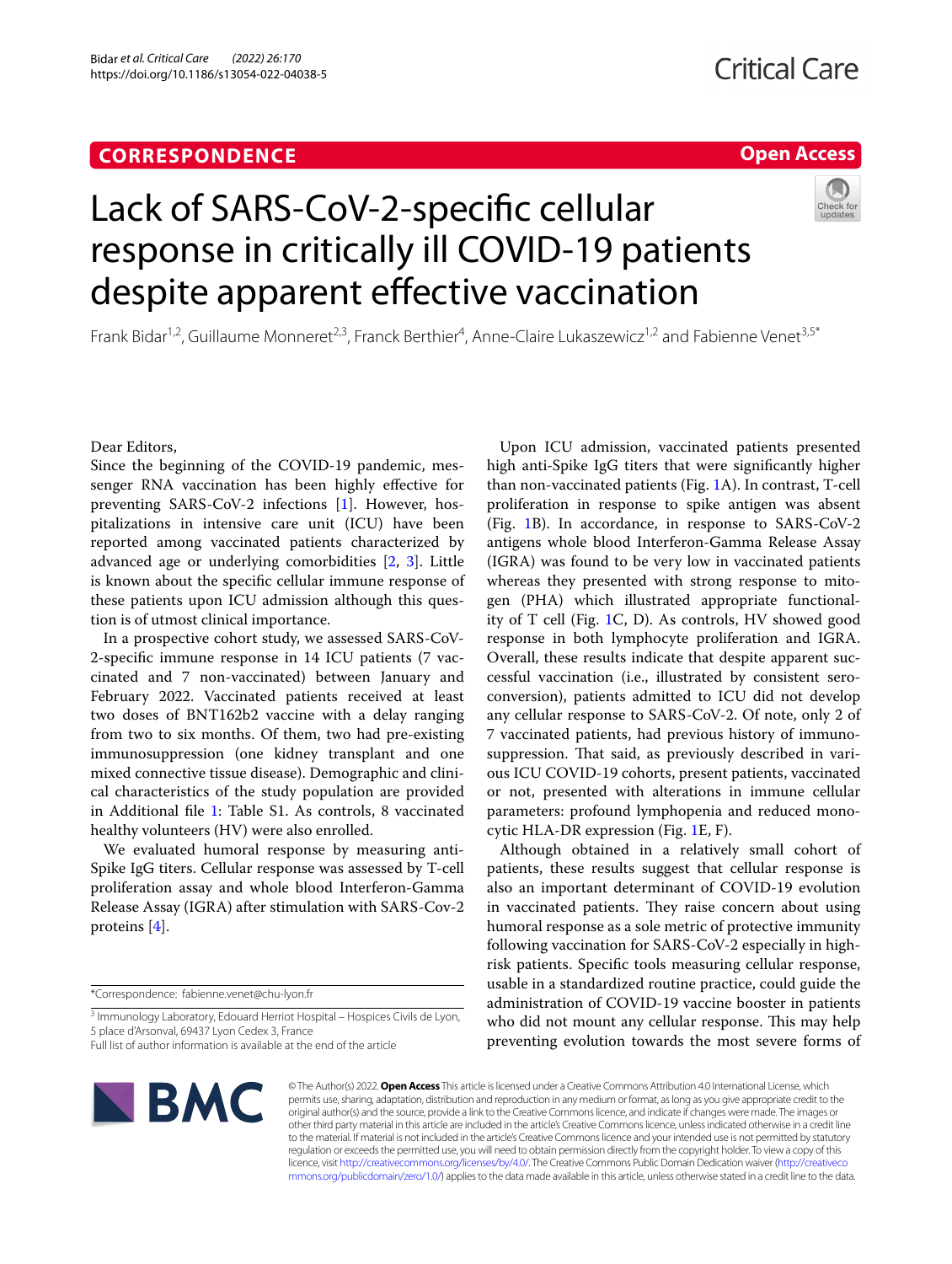### **CORRESPONDENCE**

#### **Open Access**

# Lack of SARS-CoV-2-specifc cellular response in critically ill COVID-19 patients despite apparent effective vaccination

Frank Bidar<sup>1,2</sup>, Guillaume Monneret<sup>2,3</sup>, Franck Berthier<sup>4</sup>, Anne-Claire Lukaszewicz<sup>1,2</sup> and Fabienne Venet<sup>3,5\*</sup>

Dear Editors,

Since the beginning of the COVID-19 pandemic, messenger RNA vaccination has been highly efective for preventing SARS-CoV-2 infections [\[1](#page-2-0)]. However, hospitalizations in intensive care unit (ICU) have been reported among vaccinated patients characterized by advanced age or underlying comorbidities [[2,](#page-2-1) [3](#page-2-2)]. Little is known about the specifc cellular immune response of these patients upon ICU admission although this question is of utmost clinical importance.

In a prospective cohort study, we assessed SARS-CoV-2-specifc immune response in 14 ICU patients (7 vaccinated and 7 non-vaccinated) between January and February 2022. Vaccinated patients received at least two doses of BNT162b2 vaccine with a delay ranging from two to six months. Of them, two had pre-existing immunosuppression (one kidney transplant and one mixed connective tissue disease). Demographic and clinical characteristics of the study population are provided in Additional fle [1:](#page-1-0) Table S1. As controls, 8 vaccinated healthy volunteers (HV) were also enrolled.

We evaluated humoral response by measuring anti-Spike IgG titers. Cellular response was assessed by T-cell proliferation assay and whole blood Interferon-Gamma Release Assay (IGRA) after stimulation with SARS-Cov-2 proteins [[4\]](#page-2-3).

Upon ICU admission, vaccinated patients presented high anti-Spike IgG titers that were signifcantly higher than non-vaccinated patients (Fig. [1](#page-1-1)A). In contrast, T-cell proliferation in response to spike antigen was absent (Fig. [1B](#page-1-1)). In accordance, in response to SARS-CoV-2 antigens whole blood Interferon-Gamma Release Assay (IGRA) was found to be very low in vaccinated patients whereas they presented with strong response to mitogen (PHA) which illustrated appropriate functionality of T cell (Fig. [1C](#page-1-1), D). As controls, HV showed good response in both lymphocyte proliferation and IGRA. Overall, these results indicate that despite apparent successful vaccination (i.e., illustrated by consistent seroconversion), patients admitted to ICU did not develop any cellular response to SARS-CoV-2. Of note, only 2 of 7 vaccinated patients, had previous history of immunosuppression. That said, as previously described in various ICU COVID-19 cohorts, present patients, vaccinated or not, presented with alterations in immune cellular parameters: profound lymphopenia and reduced monocytic HLA-DR expression (Fig. [1](#page-1-1)E, F).

Although obtained in a relatively small cohort of patients, these results suggest that cellular response is also an important determinant of COVID-19 evolution in vaccinated patients. They raise concern about using humoral response as a sole metric of protective immunity following vaccination for SARS-CoV-2 especially in highrisk patients. Specifc tools measuring cellular response, usable in a standardized routine practice, could guide the administration of COVID-19 vaccine booster in patients who did not mount any cellular response. This may help preventing evolution towards the most severe forms of



© The Author(s) 2022. **Open Access** This article is licensed under a Creative Commons Attribution 4.0 International License, which permits use, sharing, adaptation, distribution and reproduction in any medium or format, as long as you give appropriate credit to the original author(s) and the source, provide a link to the Creative Commons licence, and indicate if changes were made. The images or other third party material in this article are included in the article's Creative Commons licence, unless indicated otherwise in a credit line to the material. If material is not included in the article's Creative Commons licence and your intended use is not permitted by statutory regulation or exceeds the permitted use, you will need to obtain permission directly from the copyright holder. To view a copy of this licence, visit [http://creativecommons.org/licenses/by/4.0/.](http://creativecommons.org/licenses/by/4.0/) The Creative Commons Public Domain Dedication waiver ([http://creativeco](http://creativecommons.org/publicdomain/zero/1.0/) [mmons.org/publicdomain/zero/1.0/](http://creativecommons.org/publicdomain/zero/1.0/)) applies to the data made available in this article, unless otherwise stated in a credit line to the data.

<sup>\*</sup>Correspondence: fabienne.venet@chu-lyon.fr

<sup>&</sup>lt;sup>3</sup> Immunology Laboratory, Edouard Herriot Hospital - Hospices Civils de Lyon, 5 place d'Arsonval, 69437 Lyon Cedex 3, France

Full list of author information is available at the end of the article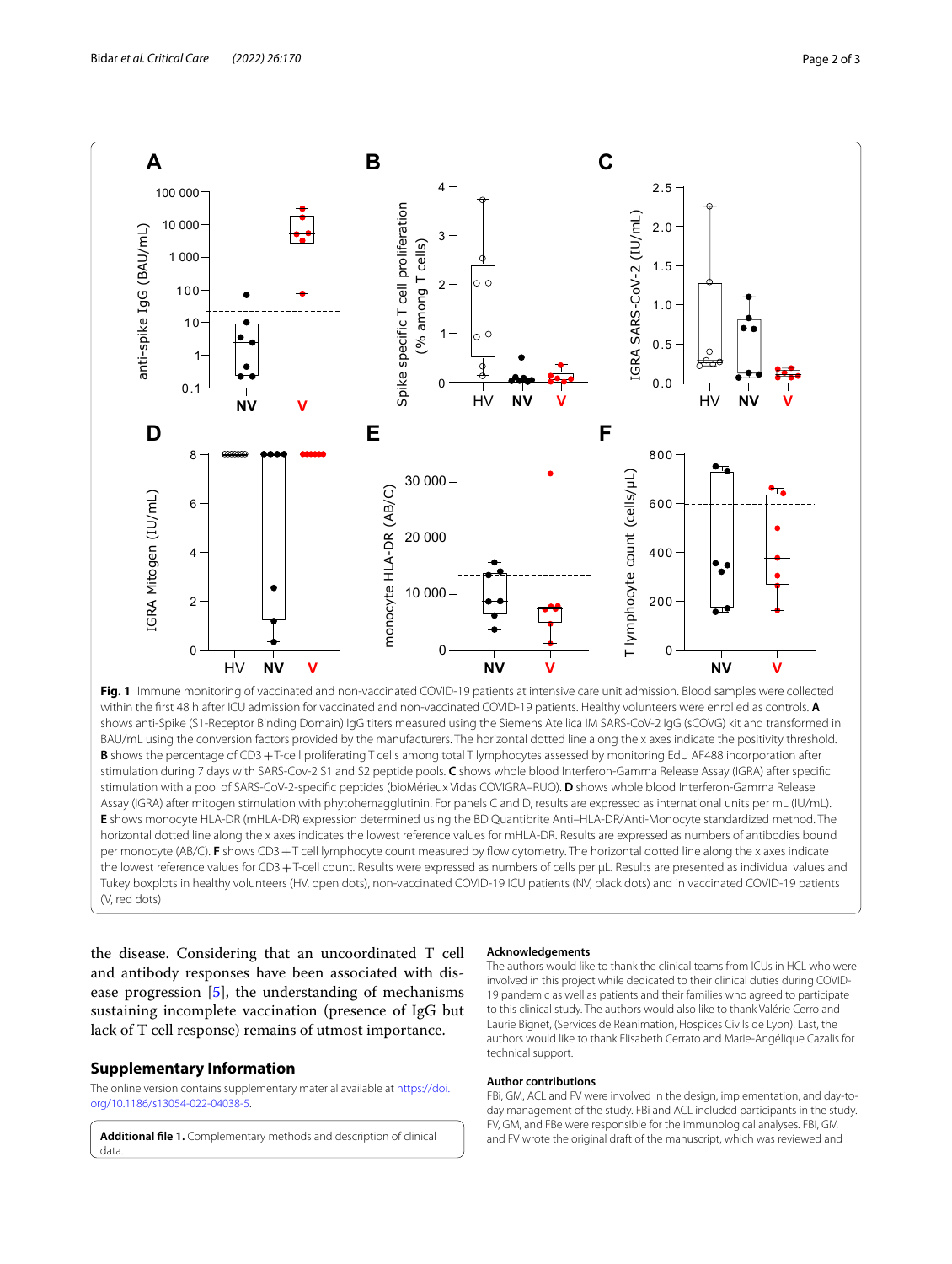

<span id="page-1-1"></span>within the frst 48 h after ICU admission for vaccinated and non-vaccinated COVID-19 patients. Healthy volunteers were enrolled as controls. **A** shows anti-Spike (S1-Receptor Binding Domain) IgG titers measured using the Siemens Atellica IM SARS-CoV-2 IgG (sCOVG) kit and transformed in BAU/mL using the conversion factors provided by the manufacturers. The horizontal dotted line along the x axes indicate the positivity threshold. **B** shows the percentage of CD3+T-cell proliferating T cells among total T lymphocytes assessed by monitoring EdU AF488 incorporation after stimulation during 7 days with SARS-Cov-2 S1 and S2 peptide pools. **C** shows whole blood Interferon-Gamma Release Assay (IGRA) after specifc stimulation with a pool of SARS-CoV-2-specifc peptides (bioMérieux Vidas COVIGRA–RUO). **D** shows whole blood Interferon-Gamma Release Assay (IGRA) after mitogen stimulation with phytohemagglutinin. For panels C and D, results are expressed as international units per mL (IU/mL). **E** shows monocyte HLA-DR (mHLA-DR) expression determined using the BD Quantibrite Anti–HLA-DR/Anti-Monocyte standardized method. The horizontal dotted line along the x axes indicates the lowest reference values for mHLA-DR. Results are expressed as numbers of antibodies bound per monocyte (AB/C). **F** shows CD3+T cell lymphocyte count measured by fow cytometry. The horizontal dotted line along the x axes indicate the lowest reference values for CD3+T-cell count. Results were expressed as numbers of cells per µL. Results are presented as individual values and Tukey boxplots in healthy volunteers (HV, open dots), non-vaccinated COVID-19 ICU patients (NV, black dots) and in vaccinated COVID-19 patients (V, red dots)

the disease. Considering that an uncoordinated T cell and antibody responses have been associated with disease progression [\[5](#page-2-4)], the understanding of mechanisms sustaining incomplete vaccination (presence of IgG but lack of T cell response) remains of utmost importance.

#### **Supplementary Information**

The online version contains supplementary material available at [https://doi.](https://doi.org/10.1186/s13054-022-04038-5) [org/10.1186/s13054-022-04038-5](https://doi.org/10.1186/s13054-022-04038-5).

<span id="page-1-0"></span>**Additional fle 1.** Complementary methods and description of clinical data.

#### **Acknowledgements**

The authors would like to thank the clinical teams from ICUs in HCL who were involved in this project while dedicated to their clinical duties during COVID-19 pandemic as well as patients and their families who agreed to participate to this clinical study. The authors would also like to thank Valérie Cerro and Laurie Bignet, (Services de Réanimation, Hospices Civils de Lyon). Last, the authors would like to thank Elisabeth Cerrato and Marie-Angélique Cazalis for technical support.

#### **Author contributions**

FBi, GM, ACL and FV were involved in the design, implementation, and day-today management of the study. FBi and ACL included participants in the study. FV, GM, and FBe were responsible for the immunological analyses. FBi, GM and FV wrote the original draft of the manuscript, which was reviewed and